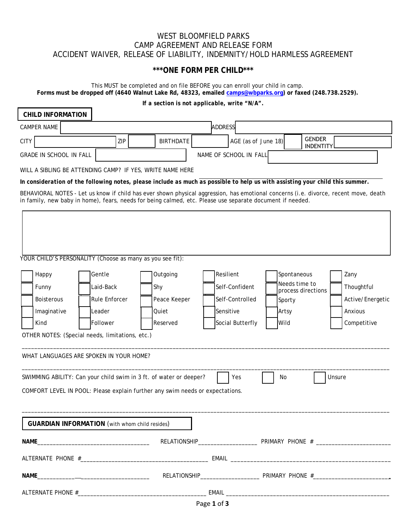# WEST BLOOMFIELD PARKS CAMP AGREEMENT AND RELEASE FORM ACCIDENT WAIVER, RELEASE OF LIABILITY, INDEMNITY/HOLD HARMLESS AGREEMENT

# **\*\*\*ONE FORM PER CHILD\*\*\***

This MUST be completed and on file BEFORE you can enroll your child in camp. **Forms must be dropped off (4640 Walnut Lake Rd, 48323, emailed camps@wbparks.org) or faxed (248.738.2529).**

*If a section is not applicable, write "N/A".*

| <b>CHILD INFORMATION</b>                                                                                                                                                                                                                          |                      |                  |                        |                                   |                  |  |  |  |  |  |  |
|---------------------------------------------------------------------------------------------------------------------------------------------------------------------------------------------------------------------------------------------------|----------------------|------------------|------------------------|-----------------------------------|------------------|--|--|--|--|--|--|
| <b>CAMPER NAME</b>                                                                                                                                                                                                                                | <b>ADDRESS</b>       |                  |                        |                                   |                  |  |  |  |  |  |  |
| <b>CITY</b>                                                                                                                                                                                                                                       | ZIP                  | <b>BIRTHDATE</b> | AGE (as of June 18)    | <b>GENDER</b><br><b>INDENTITY</b> |                  |  |  |  |  |  |  |
| <b>GRADE IN SCHOOL IN FALL</b>                                                                                                                                                                                                                    |                      |                  | NAME OF SCHOOL IN FALL |                                   |                  |  |  |  |  |  |  |
| WILL A SIBLING BE ATTENDING CAMP? IF YES, WRITE NAME HERE                                                                                                                                                                                         |                      |                  |                        |                                   |                  |  |  |  |  |  |  |
| In consideration of the following notes, please include as much as possible to help us with assisting your child this summer.                                                                                                                     |                      |                  |                        |                                   |                  |  |  |  |  |  |  |
| BEHAVIORAL NOTES - Let us know if child has ever shown physical aggression, has emotional concerns (i.e. divorce, recent move, death<br>in family, new baby in home), fears, needs for being calmed, etc. Please use separate document if needed. |                      |                  |                        |                                   |                  |  |  |  |  |  |  |
| YOUR CHILD'S PERSONALITY (Choose as many as you see fit):                                                                                                                                                                                         |                      |                  |                        |                                   |                  |  |  |  |  |  |  |
| Happy                                                                                                                                                                                                                                             | Gentle               | Outgoing         | Resilient              | Spontaneous                       | Zany             |  |  |  |  |  |  |
| Funny                                                                                                                                                                                                                                             | Laid-Back            | Shy              | Self-Confident         | Needs time to                     | Thoughtful       |  |  |  |  |  |  |
| <b>Boisterous</b>                                                                                                                                                                                                                                 | <b>Rule Enforcer</b> | Peace Keeper     | Self-Controlled        | process directions<br>Sporty      | Active/Energetic |  |  |  |  |  |  |
| Imaginative                                                                                                                                                                                                                                       | Leader               | Quiet            | lSensitive             | Artsy                             | Anxious          |  |  |  |  |  |  |
| Kind                                                                                                                                                                                                                                              | Follower             | Reserved         | Social Butterfly       | Wild                              | Competitive      |  |  |  |  |  |  |
| OTHER NOTES: (Special needs, limitations, etc.)                                                                                                                                                                                                   |                      |                  |                        |                                   |                  |  |  |  |  |  |  |
| WHAT LANGUAGES ARE SPOKEN IN YOUR HOME?                                                                                                                                                                                                           |                      |                  |                        |                                   |                  |  |  |  |  |  |  |
| SWIMMING ABILITY: Can your child swim in 3 ft. of water or deeper?<br>Yes<br>No<br>Unsure<br>COMFORT LEVEL IN POOL: Please explain further any swim needs or expectations.                                                                        |                      |                  |                        |                                   |                  |  |  |  |  |  |  |
| <b>GUARDIAN INFORMATION</b> (with whom child resides)                                                                                                                                                                                             |                      |                  |                        |                                   |                  |  |  |  |  |  |  |
|                                                                                                                                                                                                                                                   |                      |                  |                        |                                   |                  |  |  |  |  |  |  |
|                                                                                                                                                                                                                                                   |                      |                  |                        |                                   |                  |  |  |  |  |  |  |
|                                                                                                                                                                                                                                                   |                      |                  |                        |                                   |                  |  |  |  |  |  |  |
|                                                                                                                                                                                                                                                   |                      |                  |                        |                                   |                  |  |  |  |  |  |  |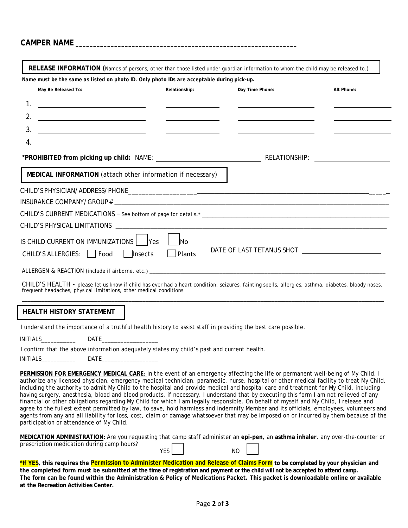| Name must be the same as listed on photo ID. Only photo IDs are acceptable during pick-up.                                                                                                                                |                             |                                                                                                                                                                                                                               |            |
|---------------------------------------------------------------------------------------------------------------------------------------------------------------------------------------------------------------------------|-----------------------------|-------------------------------------------------------------------------------------------------------------------------------------------------------------------------------------------------------------------------------|------------|
| May Be Released To:                                                                                                                                                                                                       | Relationship:               | Day Time Phone:                                                                                                                                                                                                               | Alt Phone: |
| 1.                                                                                                                                                                                                                        |                             |                                                                                                                                                                                                                               |            |
| <u> 2002 - Johann Barnett, fransk politik (d. 18</u><br>2.                                                                                                                                                                |                             |                                                                                                                                                                                                                               |            |
| 3.<br><u> 1980 - Johann Barn, fransk politik (</u>                                                                                                                                                                        |                             |                                                                                                                                                                                                                               |            |
| 4.<br><u> 1980 - Johann Barbara, martin amerikan personal (</u>                                                                                                                                                           |                             |                                                                                                                                                                                                                               |            |
|                                                                                                                                                                                                                           | RELATIONSHIP:               |                                                                                                                                                                                                                               |            |
| MEDICAL INFORMATION (attach other information if necessary)                                                                                                                                                               |                             |                                                                                                                                                                                                                               |            |
|                                                                                                                                                                                                                           |                             |                                                                                                                                                                                                                               |            |
|                                                                                                                                                                                                                           |                             |                                                                                                                                                                                                                               |            |
|                                                                                                                                                                                                                           |                             |                                                                                                                                                                                                                               |            |
|                                                                                                                                                                                                                           |                             |                                                                                                                                                                                                                               |            |
| IS CHILD CURRENT ON IMMUNIZATIONS   Yes                                                                                                                                                                                   | <b>INo</b>                  |                                                                                                                                                                                                                               |            |
| CHILD'S ALLERGIES:     Food                                                                                                                                                                                               | <b>Plants</b><br>I linsects | DATE OF LAST TETANUS SHOT [1997] [1997] [1997] [1997] [1997] [1997] [1997] [1997] [1997] [1997] [1997] [1997] [1997] [1997] [1997] [1997] [1997] [1997] [1997] [1997] [1997] [1997] [1997] [1997] [1997] [1997] [1997] [1997] |            |
|                                                                                                                                                                                                                           |                             |                                                                                                                                                                                                                               |            |
| CHILD'S HEALTH - please let us know if child has ever had a heart condition, seizures, fainting spells, allergies, asthma, diabetes, bloody noses,<br>frequent headaches, physical limitations, other medical conditions. |                             |                                                                                                                                                                                                                               |            |

## **HEALTH HISTORY STATEMENT**

I understand the importance of a truthful health history to assist staff in providing the best care possible.

INITIALS\_\_\_\_\_\_\_\_\_\_\_ DATE\_\_\_\_\_\_\_\_\_\_\_\_\_\_\_\_\_\_

I confirm that the above information adequately states my child's past and current health.

INITIALS\_\_\_\_\_\_\_\_\_\_\_ DATE\_\_\_\_\_\_\_\_\_\_\_\_\_\_\_\_\_\_

**PERMISSION FOR EMERGENCY MEDICAL CARE:** In the event of an emergency affecting the life or permanent well-being of My Child, I authorize any licensed physician, emergency medical technician, paramedic, nurse, hospital or other medical facility to treat My Child, including the authority to admit My Child to the hospital and provide medical and hospital care and treatment for My Child, including having surgery, anesthesia, blood and blood products, if necessary. I understand that by executing this form I am not relieved of any financial or other obligations regarding My Child for which I am legally responsible. On behalf of myself and My Child, I release and agree to the fullest extent permitted by law, to save, hold harmless and indemnify Member and its officials, employees, volunteers and agents from any and all liability for loss, cost, claim or damage whatsoever that may be imposed on or incurred by them because of the participation or attendance of My Child.

| MEDICATION ADMINISTRATION: Are you requesting that camp staff administer an epi-pen, an asthma inhaler, any over-the-counter or |       |    |  |
|---------------------------------------------------------------------------------------------------------------------------------|-------|----|--|
| prescription medication during camp hours?                                                                                      |       |    |  |
|                                                                                                                                 | YES l | NΟ |  |

**\*If YES, this requires the Permission to Administer Medication and Release of Claims Form to be completed by your physician and the completed form must be submitted at the time of registration and payment or the child will not be accepted to attend camp. The form can be found within the Administration & Policy of Medications Packet. This packet is downloadable online or available at the Recreation Activities Center.**